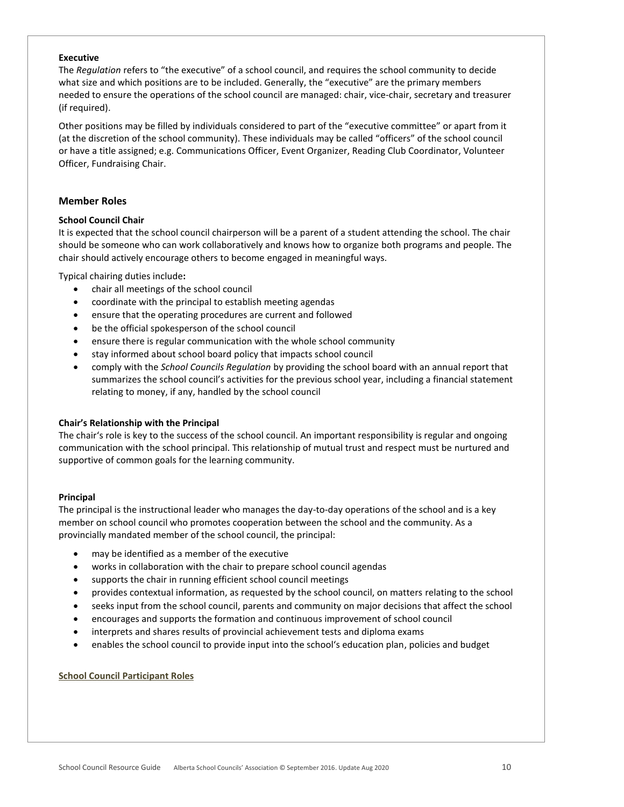## **Executive**

The *Regulation* refers to "the executive" of a school council, and requires the school community to decide what size and which positions are to be included. Generally, the "executive" are the primary members needed to ensure the operations of the school council are managed: chair, vice-chair, secretary and treasurer (if required).

Other positions may be filled by individuals considered to part of the "executive committee" or apart from it (at the discretion of the school community). These individuals may be called "officers" of the school council or have a title assigned; e.g. Communications Officer, Event Organizer, Reading Club Coordinator, Volunteer Officer, Fundraising Chair.

# **Member Roles**

# **School Council Chair**

It is expected that the school council chairperson will be a parent of a student attending the school. The chair should be someone who can work collaboratively and knows how to organize both programs and people. The chair should actively encourage others to become engaged in meaningful ways.

Typical chairing duties include**:**

- chair all meetings of the school council
- coordinate with the principal to establish meeting agendas
- ensure that the operating procedures are current and followed
- be the official spokesperson of the school council
- ensure there is regular communication with the whole school community
- stay informed about school board policy that impacts school council
- comply with the *School Councils Regulation* by providing the school board with an annual report that summarizes the school council's activities for the previous school year, including a financial statement relating to money, if any, handled by the school council

# **Chair's Relationship with the Principal**

The chair's role is key to the success of the school council. An important responsibility is regular and ongoing communication with the school principal. This relationship of mutual trust and respect must be nurtured and supportive of common goals for the learning community.

## **Principal**

The principal is the instructional leader who manages the day-to-day operations of the school and is a key member on school council who promotes cooperation between the school and the community. As a provincially mandated member of the school council, the principal:

- may be identified as a member of the executive
- works in collaboration with the chair to prepare school council agendas
- supports the chair in running efficient school council meetings
- provides contextual information, as requested by the school council, on matters relating to the school
- seeks input from the school council, parents and community on major decisions that affect the school
- encourages and supports the formation and continuous improvement of school council
- interprets and shares results of provincial achievement tests and diploma exams
- enables the school council to provide input into the school's education plan, policies and budget

## **School Council Participant Roles**